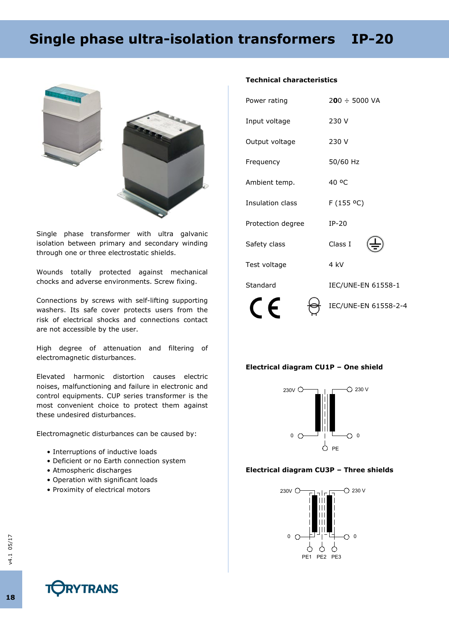# **Single phase ultra-isolation transformers IP-20**



Single phase transformer with ultra galvanic isolation between primary and secondary winding through one or three electrostatic shields.

Wounds totally protected against mechanical chocks and adverse environments. Screw fixing.

Connections by screws with self-lifting supporting washers. Its safe cover protects users from the risk of electrical shocks and connections contact are not accessible by the user.

High degree of attenuation and filtering of electromagnetic disturbances.

Elevated harmonic distortion causes electric noises, malfunctioning and failure in electronic and control equipments. CUP series transformer is the most convenient choice to protect them against these undesired disturbances.

Electromagnetic disturbances can be caused by:

- Interruptions of inductive loads
- Deficient or no Earth connection system
- Atmospheric discharges
- Operation with significant loads
- Proximity of electrical motors

## **Technical characteristics**

| Power rating      | $200 \div 5000 \text{ VA}$ |  |  |  |  |  |
|-------------------|----------------------------|--|--|--|--|--|
| Input voltage     | 230 V                      |  |  |  |  |  |
| Output voltage    | 230 V                      |  |  |  |  |  |
| Frequency         | 50/60 Hz                   |  |  |  |  |  |
| Ambient temp.     | 40 °C                      |  |  |  |  |  |
| Insulation class  | F(155 °C)                  |  |  |  |  |  |
| Protection degree | $IP-20$                    |  |  |  |  |  |
| Safety class      | Class I                    |  |  |  |  |  |
| Test voltage      | 4 kV                       |  |  |  |  |  |
| Standard          | IEC/UNE-EN 61558-1         |  |  |  |  |  |
|                   | IEC/UNE-EN 61558-2-4       |  |  |  |  |  |

#### **Electrical diagram CU1P – One shield**



## **Electrical diagram CU3P – Three shields**